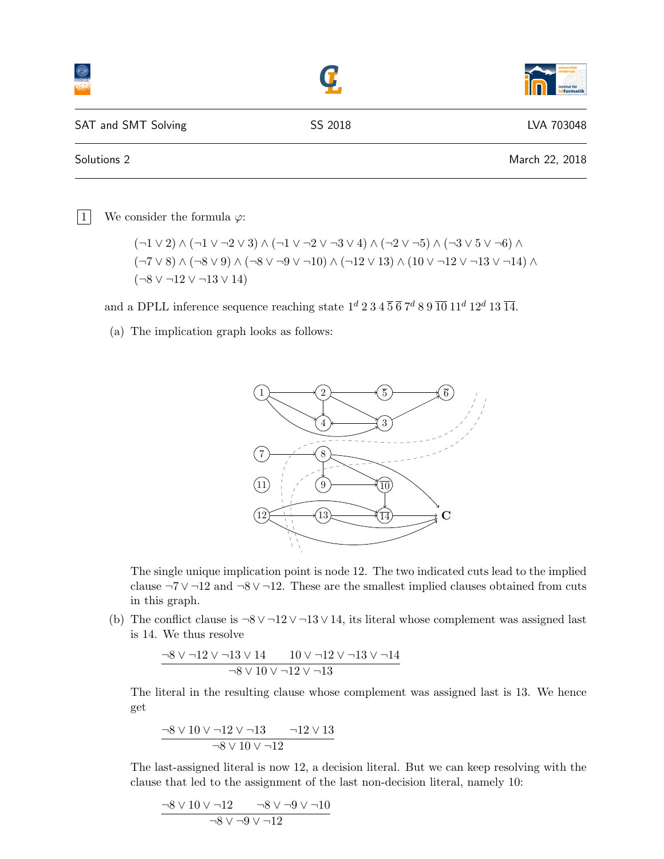|                     |         | institut für<br>formatik |
|---------------------|---------|--------------------------|
| SAT and SMT Solving | SS 2018 | LVA 703048               |
| Solutions 2         |         | March 22, 2018           |

1 We consider the formula  $\varphi$ :

$$
(\neg 1 \lor 2) \land (\neg 1 \lor \neg 2 \lor 3) \land (\neg 1 \lor \neg 2 \lor \neg 3 \lor 4) \land (\neg 2 \lor \neg 5) \land (\neg 3 \lor 5 \lor \neg 6) \land
$$
  

$$
(\neg 7 \lor 8) \land (\neg 8 \lor 9) \land (\neg 8 \lor \neg 9 \lor \neg 10) \land (\neg 12 \lor 13) \land (10 \lor \neg 12 \lor \neg 13 \lor \neg 14) \land
$$
  

$$
(\neg 8 \lor \neg 12 \lor \neg 13 \lor 14)
$$

and a DPLL inference sequence reaching state  $1^d$  2 3 4  $\overline{5}$   $\overline{6}$   $7^d$  8 9  $\overline{10}$  11<sup>d</sup> 12<sup>d</sup> 13  $\overline{14}$ .

(a) The implication graph looks as follows:



The single unique implication point is node 12. The two indicated cuts lead to the implied clause  $\neg 7 \vee \neg 12$  and  $\neg 8 \vee \neg 12$ . These are the smallest implied clauses obtained from cuts in this graph.

(b) The conflict clause is  $\neg 8 \vee \neg 12 \vee \neg 13 \vee 14$ , its literal whose complement was assigned last is 14. We thus resolve

$$
\frac{\neg 8 \vee \neg 12 \vee \neg 13 \vee 14 \qquad 10 \vee \neg 12 \vee \neg 13 \vee \neg 14}{\neg 8 \vee 10 \vee \neg 12 \vee \neg 13}
$$

The literal in the resulting clause whose complement was assigned last is 13. We hence get

$$
\frac{\neg 8 \vee 10 \vee \neg 12 \vee \neg 13 \qquad \neg 12 \vee 13}{\neg 8 \vee 10 \vee \neg 12}
$$

The last-assigned literal is now 12, a decision literal. But we can keep resolving with the clause that led to the assignment of the last non-decision literal, namely 10:

$$
\frac{-8 \vee 10 \vee -12}{-8 \vee -9 \vee -12} \xrightarrow{-8 \vee -12} \frac{-8 \vee -10}{}
$$